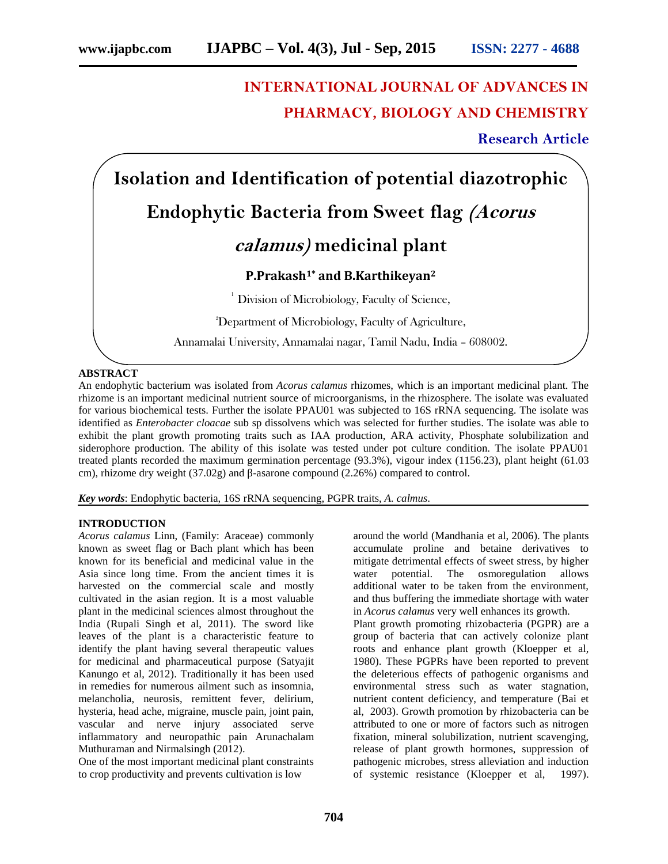# **INTERNATIONAL JOURNAL OF ADVANCES IN PHARMACY, BIOLOGY AND CHEMISTRY**

**Research Article**

**Isolation and Identification of potential diazotrophic Endophytic Bacteria from Sweet flag** *(Acorus calamus)* **medicinal plant**

# **P.Prakash1\* and B.Karthikeyan<sup>2</sup>**

 $1$  Division of Microbiology, Faculty of Science,

<sup>2</sup>Department of Microbiology, Faculty of Agriculture,

Annamalai University, Annamalai nagar, Tamil Nadu, India – 608002.

# **ABSTRACT**

An endophytic bacterium was isolated from *Acorus calamus* rhizomes, which is an important medicinal plant. The rhizome is an important medicinal nutrient source of microorganisms, in the rhizosphere. The isolate was evaluated for various biochemical tests. Further the isolate PPAU01 was subjected to 16S rRNA sequencing. The isolate was identified as *Enterobacter cloacae* sub sp dissolvens which was selected for further studies. The isolate was able to exhibit the plant growth promoting traits such as IAA production, ARA activity, Phosphate solubilization and siderophore production. The ability of this isolate was tested under pot culture condition. The isolate PPAU01 treated plants recorded the maximum germination percentage (93.3%), vigour index (1156.23), plant height (61.03 cm), rhizome dry weight (37.02g) and -asarone compound (2.26%) compared to control.

*Key words*: Endophytic bacteria, 16S rRNA sequencing, PGPR traits, *A. calmus*.

#### **INTRODUCTION**

*Acorus calamus* Linn, (Family: Araceae) commonly known as sweet flag or Bach plant which has been known for its beneficial and medicinal value in the Asia since long time. From the ancient times it is harvested on the commercial scale and mostly cultivated in the asian region. It is a most valuable plant in the medicinal sciences almost throughout the India (Rupali Singh et al, 2011). The sword like leaves of the plant is a characteristic feature to identify the plant having several therapeutic values for medicinal and pharmaceutical purpose (Satyajit Kanungo et al, 2012). Traditionally it has been used in remedies for numerous ailment such as insomnia, melancholia, neurosis, remittent fever, delirium, hysteria, head ache, migraine, muscle pain, joint pain, vascular and nerve injury associated serve inflammatory and neuropathic pain Arunachalam Muthuraman and Nirmalsingh (2012).

One of the most important medicinal plant constraints to crop productivity and prevents cultivation is low

around the world (Mandhania et al, 2006). The plants accumulate proline and betaine derivatives to mitigate detrimental effects of sweet stress, by higher water potential. The osmoregulation allows additional water to be taken from the environment, and thus buffering the immediate shortage with water in *Acorus calamus* very well enhances its growth. Plant growth promoting rhizobacteria (PGPR) are a

group of bacteria that can actively colonize plant roots and enhance plant growth (Kloepper et al, 1980). These PGPRs have been reported to prevent the deleterious effects of pathogenic organisms and environmental stress such as water stagnation, nutrient content deficiency, and temperature (Bai et al, 2003). Growth promotion by rhizobacteria can be attributed to one or more of factors such as nitrogen fixation, mineral solubilization, nutrient scavenging, release of plant growth hormones, suppression of pathogenic microbes, stress alleviation and induction of systemic resistance (Kloepper et al, 1997).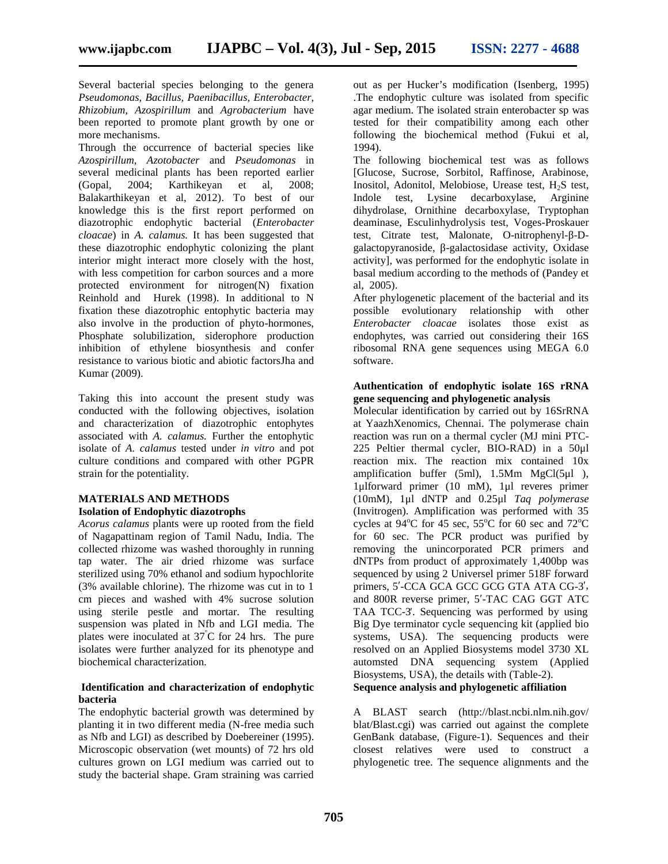Several bacterial species belonging to the genera *Pseudomonas, Bacillus, Paenibacillus, Enterobacter, Rhizobium, Azospirillum* and *Agrobacterium* have been reported to promote plant growth by one or more mechanisms.

Through the occurrence of bacterial species like *Azospirillum, Azotobacter* and *Pseudomonas* in several medicinal plants has been reported earlier (Gopal, 2004; Karthikeyan et al, 2008; Balakarthikeyan et al, 2012). To best of our knowledge this is the first report performed on diazotrophic endophytic bacterial (*Enterobacter cloacae*) in *A. calamus.* It has been suggested that these diazotrophic endophytic colonizing the plant interior might interact more closely with the host, with less competition for carbon sources and a more protected environment for nitrogen(N) fixation Reinhold and Hurek (1998). In additional to N fixation these diazotrophic entophytic bacteria may also involve in the production of phyto-hormones, Phosphate solubilization, siderophore production inhibition of ethylene biosynthesis and confer resistance to various biotic and abiotic factorsJha and Kumar (2009).

Taking this into account the present study was conducted with the following objectives, isolation and characterization of diazotrophic entophytes associated with *A. calamus.* Further the entophytic isolate of *A. calamus* tested under *in vitro* and pot culture conditions and compared with other PGPR strain for the potentiality.

#### **MATERIALS AND METHODS Isolation of Endophytic diazotrophs**

*Acorus calamus* plants were up rooted from the field of Nagapattinam region of Tamil Nadu, India. The collected rhizome was washed thoroughly in running tap water. The air dried rhizome was surface sterilized using 70% ethanol and sodium hypochlorite (3% available chlorine). The rhizome was cut in to 1 cm pieces and washed with 4% sucrose solution using sterile pestle and mortar. The resulting suspension was plated in Nfb and LGI media. The plates were inoculated at  $37^{\circ}$ C for 24 hrs. The pure isolates were further analyzed for its phenotype and biochemical characterization.

## **Identification and characterization of endophytic bacteria**

The endophytic bacterial growth was determined by planting it in two different media (N-free media such as Nfb and LGI) as described by Doebereiner (1995). Microscopic observation (wet mounts) of 72 hrs old cultures grown on LGI medium was carried out to study the bacterial shape. Gram straining was carried

out as per Hucker's modification (Isenberg, 1995) .The endophytic culture was isolated from specific agar medium. The isolated strain enterobacter sp was tested for their compatibility among each other following the biochemical method (Fukui et al, 1994).

The following biochemical test was as follows [Glucose, Sucrose, Sorbitol, Raffinose, Arabinose, Inositol, Adonitol, Melobiose, Urease test, H<sub>2</sub>S test, Indole test, Lysine decarboxylase, Arginine dihydrolase, Ornithine decarboxylase, Tryptophan deaminase, Esculinhydrolysis test, Voges-Proskauer test, Citrate test, Malonate, O-nitrophenyl- -D galactopyranoside, -galactosidase activity, Oxidase activity], was performed for the endophytic isolate in basal medium according to the methods of (Pandey et al, 2005).

After phylogenetic placement of the bacterial and its possible evolutionary relationship with other *Enterobacter cloacae* isolates those exist as endophytes, was carried out considering their 16S ribosomal RNA gene sequences using MEGA 6.0 software.

# **Authentication of endophytic isolate 16S rRNA gene sequencing and phylogenetic analysis**

Molecular identification by carried out by 16SrRNA at YaazhXenomics, Chennai. The polymerase chain reaction was run on a thermal cycler (MJ mini PTC- 225 Peltier thermal cycler, BIO-RAD) in a 50μl reaction mix. The reaction mix contained 10x amplification buffer (5ml), 1.5Mm MgCl(5μl ), 1μlforward primer (10 mM), 1μl reveres primer (10mM), 1μl dNTP and 0.25μl *Taq polymerase* (Invitrogen). Amplification was performed with 35 cycles at  $94^{\circ}$ C for 45 sec,  $55^{\circ}$ C for 60 sec and  $72^{\circ}$ C for 60 sec. The PCR product was purified by removing the unincorporated PCR primers and dNTPs from product of approximately 1,400bp was sequenced by using 2 Universel primer 518F forward primers, 5 -CCA GCA GCC GCG GTA ATA CG-3, and 800R reverse primer, 5 -TAC CAG GGT ATC TAA TCC-3. Sequencing was performed by using Big Dye terminator cycle sequencing kit (applied bio systems, USA). The sequencing products were resolved on an Applied Biosystems model 3730 XL automsted DNA sequencing system (Applied Biosystems, USA), the details with (Table-2). **Sequence analysis and phylogenetic affiliation**

A BLAST search (http://blast.ncbi.nlm.nih.gov/ blat/Blast.cgi) was carried out against the complete GenBank database, (Figure-1). Sequences and their closest relatives were used to construct a phylogenetic tree. The sequence alignments and the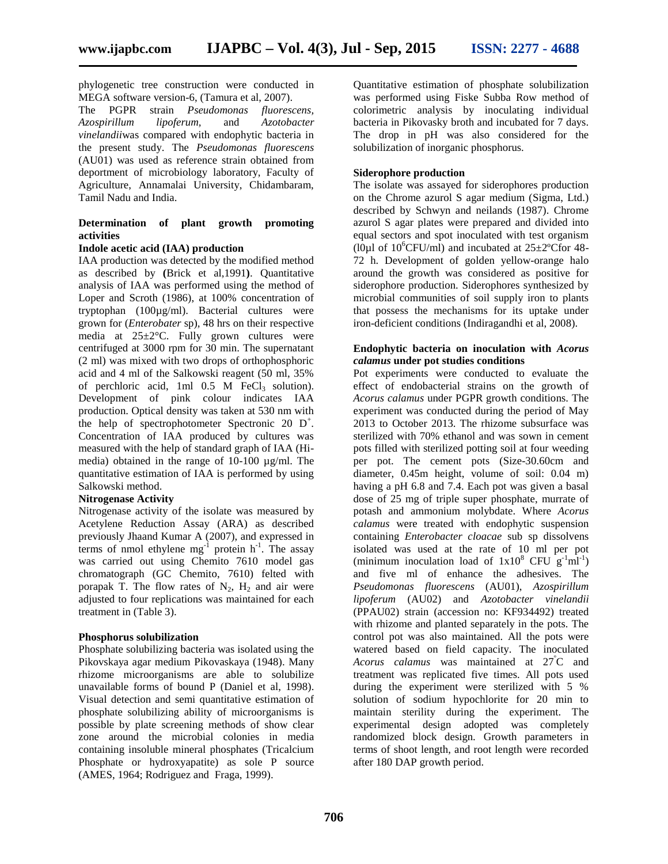phylogenetic tree construction were conducted in MEGA software version-6, (Tamura et al, 2007).

The PGPR strain *Pseudomonas fluorescens, Azospirillum lipoferum,* and *Azotobacter vinelandii*was compared with endophytic bacteria in the present study. The *Pseudomonas fluorescens* (AU01) was used as reference strain obtained from deportment of microbiology laboratory, Faculty of Agriculture, Annamalai University, Chidambaram, Tamil Nadu and India.

# **Determination of plant growth promoting activities**

#### **Indole acetic acid (IAA) production**

IAA production was detected by the modified method as described by **(**Brick et al,1991**)**. Quantitative analysis of IAA was performed using the method of Loper and Scroth (1986), at 100% concentration of tryptophan (100µg/ml). Bacterial cultures were grown for (*Enterobater* sp)*,* 48 hrs on their respective media at 25±2°C. Fully grown cultures were centrifuged at 3000 rpm for 30 min. The supernatant (2 ml) was mixed with two drops of orthophosphoric acid and 4 ml of the Salkowski reagent (50 ml, 35% of perchloric acid, 1ml  $0.5$  M FeCl<sub>3</sub> solution). Development of pink colour indicates IAA production. Optical density was taken at 530 nm with the help of spectrophotometer Spectronic 20  $D^+$ . Concentration of IAA produced by cultures was measured with the help of standard graph of IAA (Hi media) obtained in the range of 10-100 µg/ml. The quantitative estimation of IAA is performed by using Salkowski method.

# **Nitrogenase Activity**

Nitrogenase activity of the isolate was measured by Acetylene Reduction Assay (ARA) as described previously Jhaand Kumar A (2007), and expressed in terms of nmol ethylene  $mg^{-1}$  protein  $h^{-1}$ . The assay was carried out using Chemito 7610 model gas chromatograph (GC Chemito, 7610) felted with porapak T. The flow rates of  $N_2$ ,  $H_2$  and air were adjusted to four replications was maintained for each treatment in (Table 3).

#### **Phosphorus solubilization**

Phosphate solubilizing bacteria was isolated using the Pikovskaya agar medium Pikovaskaya (1948). Many rhizome microorganisms are able to solubilize unavailable forms of bound P (Daniel et al, 1998). Visual detection and semi quantitative estimation of phosphate solubilizing ability of microorganisms is possible by plate screening methods of show clear zone around the microbial colonies in media containing insoluble mineral phosphates (Tricalcium Phosphate or hydroxyapatite) as sole P source (AMES, 1964; Rodriguez and Fraga, 1999).

Quantitative estimation of phosphate solubilization was performed using Fiske Subba Row method of colorimetric analysis by inoculating individual bacteria in Pikovasky broth and incubated for 7 days. The drop in pH was also considered for the solubilization of inorganic phosphorus.

# **Siderophore production**

The isolate was assayed for siderophores production on the Chrome azurol S agar medium (Sigma, Ltd.) described by Schwyn and neilands (1987). Chrome azurol S agar plates were prepared and divided into equal sectors and spot inoculated with test organism (l0µl of  $10^6$ CFU/ml) and incubated at  $25\pm2^{\circ}$ Cfor 48-72 h. Development of golden yellow-orange halo around the growth was considered as positive for siderophore production. Siderophores synthesized by microbial communities of soil supply iron to plants that possess the mechanisms for its uptake under iron-deficient conditions (Indiragandhi et al, 2008).

# **Endophytic bacteria on inoculation with** *Acorus calamus* **under pot studies conditions**

Pot experiments were conducted to evaluate the effect of endobacterial strains on the growth of *Acorus calamus* under PGPR growth conditions. The experiment was conducted during the period of May 2013 to October 2013. The rhizome subsurface was sterilized with 70% ethanol and was sown in cement pots filled with sterilized potting soil at four weeding per pot. The cement pots (Size-30.60cm and diameter, 0.45m height, volume of soil: 0.04 m) having a pH 6.8 and 7.4. Each pot was given a basal dose of 25 mg of triple super phosphate, murrate of potash and ammonium molybdate. Where *Acorus calamus* were treated with endophytic suspension containing *Enterobacter cloacae* sub sp dissolvens isolated was used at the rate of 10 ml per pot (minimum inoculation load of  $1x10^8$  CFU  $g^{-1}ml^{-1}$ ) and five ml of enhance the adhesives. The *Pseudomonas fluorescens* (AU01), *Azospirillum lipoferum* (AU02) and *Azotobacter vinelandii* (PPAU02) strain (accession no: KF934492) treated with rhizome and planted separately in the pots. The control pot was also maintained. All the pots were watered based on field capacity. The inoculated *Acorus calamus* was maintained at 27<sup>º</sup>C and treatment was replicated five times. All pots used during the experiment were sterilized with 5 % solution of sodium hypochlorite for 20 min to maintain sterility during the experiment. The experimental design adopted was completely randomized block design. Growth parameters in terms of shoot length, and root length were recorded after 180 DAP growth period.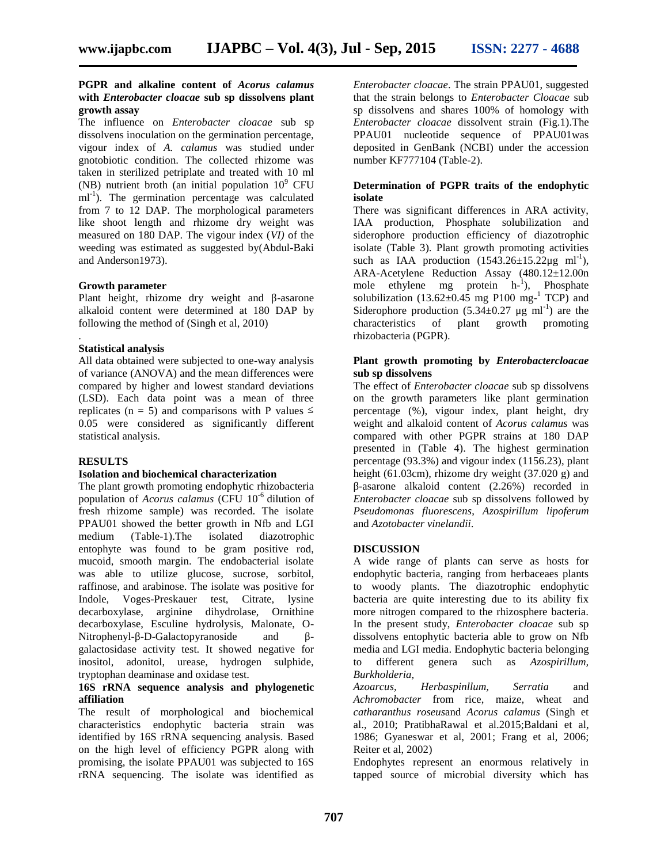# **PGPR and alkaline content of** *Acorus calamus* **with** *Enterobacter cloacae* **sub sp dissolvens plant growth assay**

The influence on *Enterobacter cloacae* sub sp dissolvens inoculation on the germination percentage, vigour index of *A. calamus* was studied under gnotobiotic condition. The collected rhizome was taken in sterilized petriplate and treated with 10 ml (NB) nutrient broth (an initial population  $10^9$  CFU ml<sup>-1</sup>). The germination percentage was calculated from 7 to 12 DAP. The morphological parameters like shoot length and rhizome dry weight was measured on 180 DAP. The vigour index (*VI)* of the weeding was estimated as suggested by(Abdul-Baki and Anderson1973).

#### **Growth parameter**

Plant height, rhizome dry weight and -asarone alkaloid content were determined at 180 DAP by following the method of (Singh et al, 2010)

#### .**Statistical analysis**

All data obtained were subjected to one-way analysis of variance (ANOVA) and the mean differences were compared by higher and lowest standard deviations (LSD). Each data point was a mean of three replicates  $(n = 5)$  and comparisons with P values 0.05 were considered as significantly different statistical analysis.

# **RESULTS**

# **Isolation and biochemical characterization**

The plant growth promoting endophytic rhizobacteria population of *Acorus calamus* (CFU 10-6 dilution of fresh rhizome sample) was recorded. The isolate PPAU01 showed the better growth in Nfb and LGI medium (Table-1).The isolated diazotrophic entophyte was found to be gram positive rod, mucoid, smooth margin. The endobacterial isolate was able to utilize glucose, sucrose, sorbitol, raffinose, and arabinose. The isolate was positive for Indole, Voges-Preskauer test, Citrate, lysine decarboxylase, arginine dihydrolase, Ornithine decarboxylase, Esculine hydrolysis, Malonate, O- Nitrophenyl- -D-Galactopyranoside and galactosidase activity test. It showed negative for inositol, adonitol, urease, hydrogen sulphide, tryptophan deaminase and oxidase test.

# **16S rRNA sequence analysis and phylogenetic affiliation**

The result of morphological and biochemical characteristics endophytic bacteria strain was identified by 16S rRNA sequencing analysis. Based on the high level of efficiency PGPR along with promising, the isolate PPAU01 was subjected to 16S rRNA sequencing. The isolate was identified as

*Enterobacter cloacae*. The strain PPAU01, suggested that the strain belongs to *Enterobacter Cloacae* sub sp dissolvens and shares 100% of homology with *Enterobacter cloacae* dissolvent strain (Fig.1).The PPAU01 nucleotide sequence of PPAU01was deposited in GenBank (NCBI) under the accession number KF777104 (Table-2).

# **Determination of PGPR traits of the endophytic isolate**

There was significant differences in ARA activity, IAA production, Phosphate solubilization and siderophore production efficiency of diazotrophic isolate (Table 3). Plant growth promoting activities such as IAA production  $(1543.26 \pm 15.22 \mu g \text{ ml}^{-1})$ , ARA-Acetylene Reduction Assay (480.12±12.00n mole ethylene mg protein  $h^{-1}$ ), Phosphate solubilization  $(13.62 \pm 0.45 \text{ mg } P100 \text{ mg}^{-1} \text{ TCP})$  and Siderophore production  $(5.34\pm0.27 \text{ µg} \text{ ml}^{-1})$  are the characteristics of plant growth promoting of plant rhizobacteria (PGPR).

# **Plant growth promoting by** *Enterobactercloacae* **sub sp dissolvens**

The effect of *Enterobacter cloacae* sub sp dissolvens on the growth parameters like plant germination percentage (%), vigour index, plant height, dry weight and alkaloid content of *Acorus calamus* was compared with other PGPR strains at 180 DAP presented in (Table 4). The highest germination percentage (93.3%) and vigour index (1156.23), plant height (61.03cm), rhizome dry weight (37.020 g) and -asarone alkaloid content (2.26%) recorded in *Enterobacter cloacae* sub sp dissolvens followed by *Pseudomonas fluorescens*, *Azospirillum lipoferum* and *Azotobacter vinelandii*.

# **DISCUSSION**

A wide range of plants can serve as hosts for endophytic bacteria, ranging from herbaceaes plants to woody plants. The diazotrophic endophytic bacteria are quite interesting due to its ability fix more nitrogen compared to the rhizosphere bacteria. In the present study, *Enterobacter cloacae* sub sp dissolvens entophytic bacteria able to grow on Nfb media and LGI media. Endophytic bacteria belonging to different genera such as *Azospirillum, Burkholderia,*

*Azoarcus, Herbaspinllum, Serratia* and *Achromobacter* from rice, maize, wheat and *catharanthus roseus*and *Acorus calamus* (Singh et al., 2010; PratibhaRawal et al.2015;Baldani et al, 1986; Gyaneswar et al, 2001; Frang et al, 2006; Reiter et al, 2002)

Endophytes represent an enormous relatively in tapped source of microbial diversity which has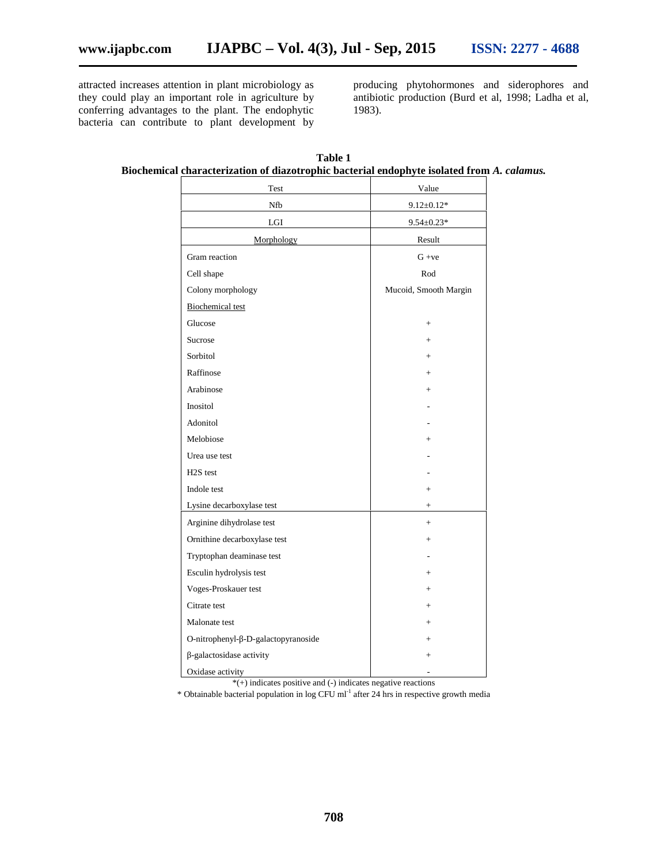attracted increases attention in plant microbiology as they could play an important role in agriculture by conferring advantages to the plant. The endophytic bacteria can contribute to plant development by producing phytohormones and siderophores and antibiotic production (Burd et al, 1998; Ladha et al, 1983).

| Test                                | Value                 |
|-------------------------------------|-----------------------|
| Nfb                                 | $9.12 \pm 0.12*$      |
| $_{\rm LGI}$                        | $9.54 \pm 0.23*$      |
| Morphology                          | Result                |
| Gram reaction                       | $G + ve$              |
| Cell shape                          | Rod                   |
| Colony morphology                   | Mucoid, Smooth Margin |
| <b>Biochemical test</b>             |                       |
| Glucose                             | $^{+}$                |
| Sucrose                             | $^{+}$                |
| Sorbitol                            | $+$                   |
| Raffinose                           | $+$                   |
| Arabinose                           | $+$                   |
| Inositol                            |                       |
| Adonitol                            |                       |
| Melobiose                           | $\overline{+}$        |
| Urea use test                       |                       |
| H <sub>2</sub> S test               |                       |
| Indole test                         | $+$                   |
| Lysine decarboxylase test           | $^{+}$                |
| Arginine dihydrolase test           | $+$                   |
| Ornithine decarboxylase test        | $^{+}$                |
| Tryptophan deaminase test           |                       |
| Esculin hydrolysis test             | $^{+}$                |
| Voges-Proskauer test                | $+$                   |
| Citrate test                        | $^{+}$                |
| Malonate test                       | $+$                   |
| O-nitrophenyl- -D-galactopyranoside | $^{+}$                |
| -galactosidase activity             | $^{+}$                |
| Oxidase activity                    |                       |

**Table 1 Biochemical characterization of diazotrophic bacterial endophyte isolated from** *A. calamus.*

 $*(+)$  indicates positive and (-) indicates negative reactions

\* Obtainable bacterial population in log CFU ml-1 after 24 hrs in respective growth media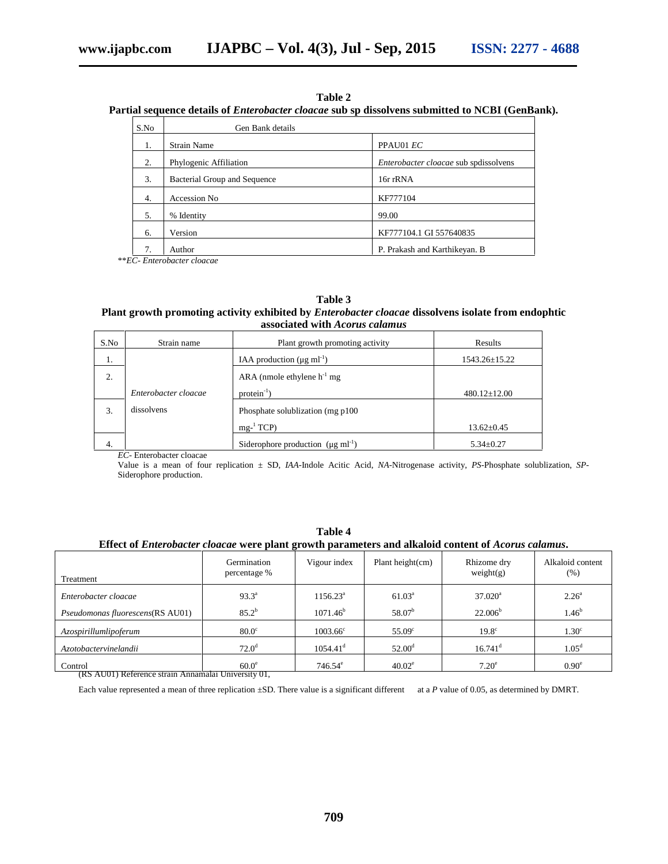| Table 2 |  |
|---------|--|
|---------|--|

# **Partial sequence details of** *Enterobacter cloacae* **sub sp dissolvens submitted to NCBI (GenBank).**

| S.No | Gen Bank details             |                                       |
|------|------------------------------|---------------------------------------|
| 1.   | <b>Strain Name</b>           | PPAU01 EC                             |
| 2.   | Phylogenic Affiliation       | Enterobacter cloacae sub spdissolvens |
| 3.   | Bacterial Group and Sequence | 16r rRNA                              |
| 4.   | Accession No                 | KF777104                              |
| 5.   | % Identity                   | 99.00                                 |
| 6.   | Version                      | KF777104.1 GI 557640835               |
|      | Author                       | P. Prakash and Karthikeyan. B         |

\*\**EC- Enterobacter cloacae*

# **Table 3**

# **Plant growth promoting activity exhibited by** *Enterobacter cloacae* **dissolvens isolate from endophtic associated with** *Acorus calamus*

| S.No | Strain name          | Plant growth promoting activity                  | Results            |
|------|----------------------|--------------------------------------------------|--------------------|
| 1.   |                      | IAA production ( $\mu$ g ml <sup>-1</sup> )      | 1543.26±15.22      |
| 2.   |                      | ARA (nmole ethylene $h^{-1}$ mg                  |                    |
|      | Enterobacter cloacae | $protein^{-1}$ )                                 | $480.12 \pm 12.00$ |
| 3.   | dissolvens           | Phosphate solublization (mg p100)                |                    |
|      |                      | $mg-1 TCP$                                       | $13.62 \pm 0.45$   |
| 4.   |                      | Siderophore production $(\mu g \text{ ml}^{-1})$ | $5.34 \pm 0.27$    |

*EC-* Enterobacter cloacae

Value is a mean of four replication ± SD, *IAA*-Indole Acitic Acid, *NA*-Nitrogenase activity, *PS*-Phosphate solublization, *SP*- Siderophore production.

| Effect of <i>Enterobacter cloacae</i> were plant growth parameters and alkaloid content of <i>Acorus calamus</i> . |                             |                      |                     |                          |                                     |  |  |
|--------------------------------------------------------------------------------------------------------------------|-----------------------------|----------------------|---------------------|--------------------------|-------------------------------------|--|--|
| Treatment                                                                                                          | Germination<br>percentage % | Vigour index         | Plant height $(cm)$ | Rhizome dry<br>weight(g) | Alkaloid content<br>(% )            |  |  |
| Enterobacter cloacae                                                                                               | $93.3^{\circ}$              | $1156.23^{\text{a}}$ | $61.03^{\rm a}$     | $37.020^{\circ}$         | $2.26^{\circ}$<br>1.46 <sup>b</sup> |  |  |
| Pseudomonas fluorescens(RS AU01)                                                                                   | $85.2^{b}$                  | $1071.46^{\rm b}$    | 58.07 <sup>b</sup>  | 22.006 <sup>b</sup>      |                                     |  |  |

**Table 4**

Control 60.0<sup>e</sup> 746.54<sup>e</sup> 40.02<sup>e</sup> 7.20<sup>e</sup> 7.20<sup>e</sup> 0.90<sup>e</sup> 0.90<sup>e</sup>

Each value represented a mean of three replication ±SD. There value is a significant different at a *P* value of 0.05, as determined by DMRT.

*Azospirillumlipoferum* 80.0<sup>c</sup> 1003.66<sup>c</sup> 55.09<sup>c</sup> 19.8<sup>c</sup> 19.8<sup>c</sup> 1.30<sup>c</sup> *Azotobactervinelandii* 1054.41<sup>d</sup> 1054.41<sup>d</sup> 52.00<sup>d</sup> 16.741<sup>d</sup> 1.05<sup>d</sup> 10.5<sup>d</sup>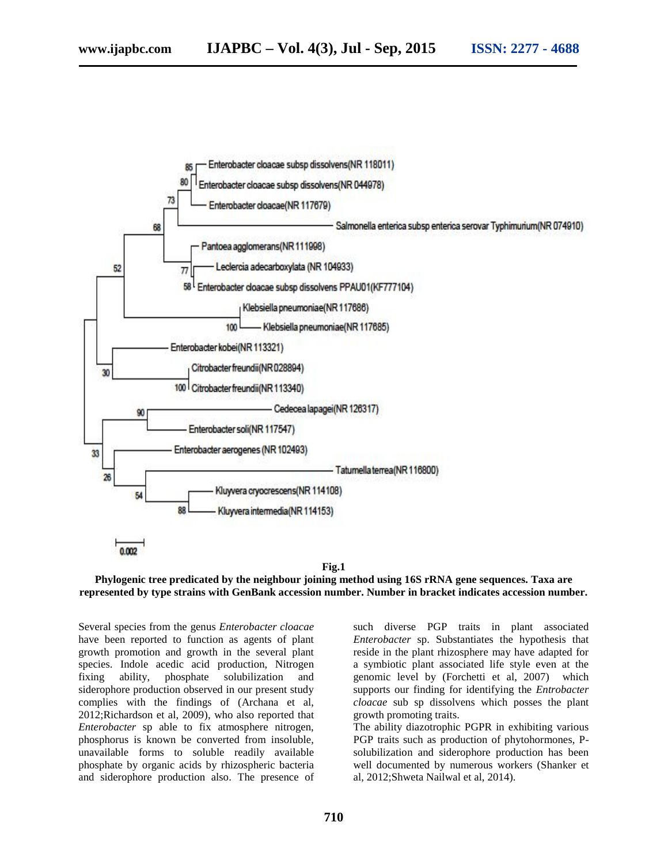

#### **Fig.1**

#### **Phylogenic tree predicated by the neighbour joining method using 16S rRNA gene sequences. Taxa are represented by type strains with GenBank accession number. Number in bracket indicates accession number.**

Several species from the genus *Enterobacter cloacae* have been reported to function as agents of plant growth promotion and growth in the several plant species. Indole acedic acid production, Nitrogen fixing ability, phosphate solubilization and siderophore production observed in our present study complies with the findings of (Archana et al, 2012;Richardson et al, 2009), who also reported that *Enterobacter* sp able to fix atmosphere nitrogen, phosphorus is known be converted from insoluble, unavailable forms to soluble readily available phosphate by organic acids by rhizospheric bacteria and siderophore production also. The presence of such diverse PGP traits in plant associated *Enterobacter* sp. Substantiates the hypothesis that reside in the plant rhizosphere may have adapted for a symbiotic plant associated life style even at the genomic level by (Forchetti et al, 2007) which supports our finding for identifying the *Entrobacter cloacae* sub sp dissolvens which posses the plant growth promoting traits.

The ability diazotrophic PGPR in exhibiting various PGP traits such as production of phytohormones, P solubilization and siderophore production has been well documented by numerous workers (Shanker et al, 2012;Shweta Nailwal et al, 2014).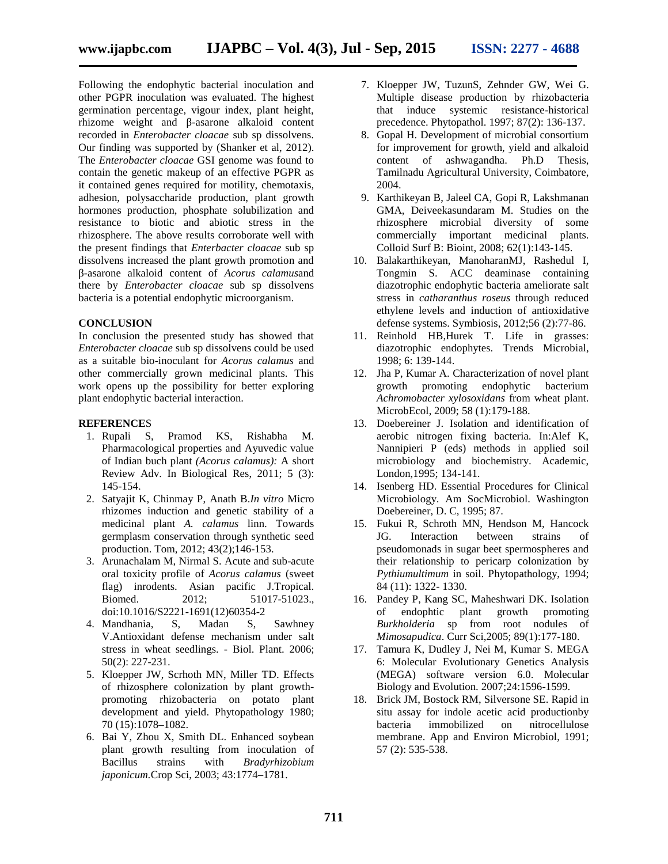Following the endophytic bacterial inoculation and other PGPR inoculation was evaluated. The highest germination percentage, vigour index, plant height, rhizome weight and -asarone alkaloid content recorded in *Enterobacter cloacae* sub sp dissolvens. Our finding was supported by (Shanker et al, 2012). The *Enterobacter cloacae* GSI genome was found to contain the genetic makeup of an effective PGPR as it contained genes required for motility, chemotaxis, adhesion, polysaccharide production, plant growth hormones production, phosphate solubilization and resistance to biotic and abiotic stress in the rhizosphere. The above results corroborate well with the present findings that *Enterbacter cloacae* sub sp dissolvens increased the plant growth promotion and -asarone alkaloid content of *Acorus calamus*and there by *Enterobacter cloacae* sub sp dissolvens

bacteria is a potential endophytic microorganism.

## **CONCLUSION**

In conclusion the presented study has showed that *Enterobacter cloacae* sub sp dissolvens could be used as a suitable bio-inoculant for *Acorus calamus* and other commercially grown medicinal plants. This work opens up the possibility for better exploring plant endophytic bacterial interaction.

#### **REFERENCE**S

- 1. Rupali S, Pramod KS, Rishabha M. Pharmacological properties and Ayuvedic value of Indian buch plant *(Acorus calamus):* A short Review Adv. In Biological Res, 2011; 5 (3): 145-154.
- 2. Satyajit K, Chinmay P, Anath B.*In vitro* Micro rhizomes induction and genetic stability of a medicinal plant *A. calamus* linn. Towards germplasm conservation through synthetic seed production. Tom, 2012; 43(2);146-153.
- 3. Arunachalam M, Nirmal S. Acute and sub-acute oral toxicity profile of *Acorus calamus* (sweet flag) inrodents. Asian pacific J.Tropical. Biomed. 2012; 51017-51023. doi:10.1016/S2221-1691(12)60354-2
- 4. Mandhania, S, Madan S, Sawhney V.Antioxidant defense mechanism under salt stress in wheat seedlings. - Biol. Plant. 2006; 50(2): 227-231.
- 5. Kloepper JW, Scrhoth MN, Miller TD. Effects of rhizosphere colonization by plant growth promoting rhizobacteria on potato plant development and yield. Phytopathology 1980; 70 (15):1078–1082.
- 6. Bai Y, Zhou X, Smith DL. Enhanced soybean plant growth resulting from inoculation of<br>Bacillus strains with *Bradyrhizobium* strains with *Bradyrhizobium japonicum.*Crop Sci, 2003; 43:1774–1781.
- 7. Kloepper JW, TuzunS, Zehnder GW, Wei G. Multiple disease production by rhizobacteria that induce systemic resistance-historical precedence. Phytopathol. 1997; 87(2): 136-137.
- 8. Gopal H. Development of microbial consortium for improvement for growth, yield and alkaloid content of ashwagandha. Ph.D Thesis, Tamilnadu Agricultural University, Coimbatore, 2004.
- 9. Karthikeyan B, Jaleel CA, Gopi R, Lakshmanan GMA, Deiveekasundaram M. Studies on the rhizosphere microbial diversity of some commercially important medicinal plants. Colloid Surf B: Bioint, 2008; 62(1):143-145.
- 10. Balakarthikeyan, ManoharanMJ, Rashedul I, Tongmin S. ACC deaminase containing diazotrophic endophytic bacteria ameliorate salt stress in *catharanthus roseus* through reduced ethylene levels and induction of antioxidative defense systems. Symbiosis, 2012;56 (2):77-86.
- 11. Reinhold HB,Hurek T. Life in grasses: diazotrophic endophytes. Trends Microbial, 1998; 6: 139-144.
- 12. Jha P, Kumar A. Characterization of novel plant growth promoting endophytic bacterium *Achromobacter xylosoxidans* from wheat plant. MicrobEcol, 2009; 58 (1):179-188.
- 13. Doebereiner J. Isolation and identification of aerobic nitrogen fixing bacteria. In:Alef K, Nannipieri P (eds) methods in applied soil microbiology and biochemistry. Academic, London,1995; 134-141.
- 14. Isenberg HD. Essential Procedures for Clinical Microbiology. Am SocMicrobiol. Washington Doebereiner, D. C, 1995; 87.
- 15. Fukui R, Schroth MN, Hendson M, Hancock JG. Interaction between strains of pseudomonads in sugar beet spermospheres and their relationship to pericarp colonization by *Pythiumultimum* in soil. Phytopathology, 1994; 84 (11): 1322- 1330.
- 16. Pandey P, Kang SC, Maheshwari DK. Isolation of endophtic plant growth promoting *Burkholderia* sp from root nodules of *Mimosapudica*. Curr Sci,2005; 89(1):177-180.
- 17. Tamura K, Dudley J, Nei M, Kumar S. MEGA 6: Molecular Evolutionary Genetics Analysis (MEGA) software version 6.0. Molecular Biology and Evolution. 2007;24:1596-1599.
- 18. Brick JM, Bostock RM, Silversone SE. Rapid in situ assay for indole acetic acid productionby bacteria immobilized on nitrocellulose membrane. App and Environ Microbiol, 1991; 57 (2): 535-538.